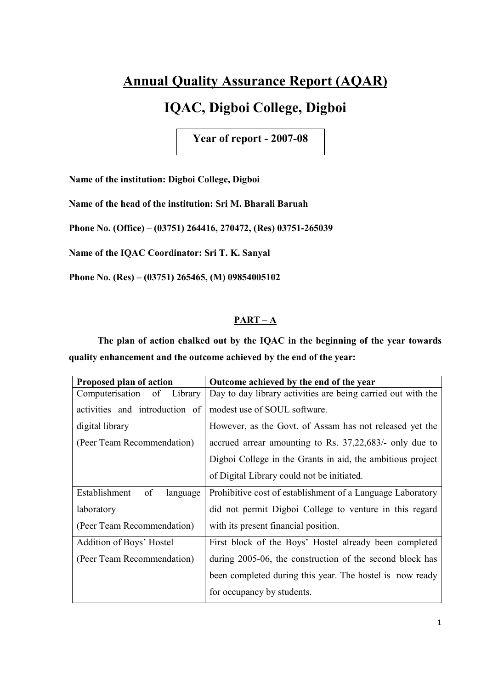# **Annual Quality Assurance Report (AQAR)**

# **IQAC, Digboi College, Digboi**

**Year of report - 2007-08** 

**Name of the institution: Digboi College, Digboi** 

**Name of the head of the institution: Sri M. Bharali Baruah** 

**Phone No. (Office) – (03751) 264416, 270472, (Res) 03751-265039** 

**Name of the IQAC Coordinator: Sri T. K. Sanyal** 

**Phone No. (Res) – (03751) 265465, (M) 09854005102** 

# **PART – A**

**The plan of action chalked out by the IQAC in the beginning of the year towards quality enhancement and the outcome achieved by the end of the year:**

| Proposed plan of action          | Outcome achieved by the end of the year                      |
|----------------------------------|--------------------------------------------------------------|
| Library<br>Computerisation<br>of | Day to day library activities are being carried out with the |
| activities and introduction of   | modest use of SOUL software.                                 |
| digital library                  | However, as the Govt. of Assam has not released yet the      |
| (Peer Team Recommendation)       | accrued arrear amounting to Rs. 37,22,683/- only due to      |
|                                  | Digboi College in the Grants in aid, the ambitious project   |
|                                  | of Digital Library could not be initiated.                   |
| of<br>Establishment<br>language  | Prohibitive cost of establishment of a Language Laboratory   |
| laboratory                       | did not permit Digboi College to venture in this regard      |
| (Peer Team Recommendation)       | with its present financial position.                         |
| Addition of Boys' Hostel         | First block of the Boys' Hostel already been completed       |
| (Peer Team Recommendation)       | during 2005-06, the construction of the second block has     |
|                                  | been completed during this year. The hostel is now ready     |
|                                  | for occupancy by students.                                   |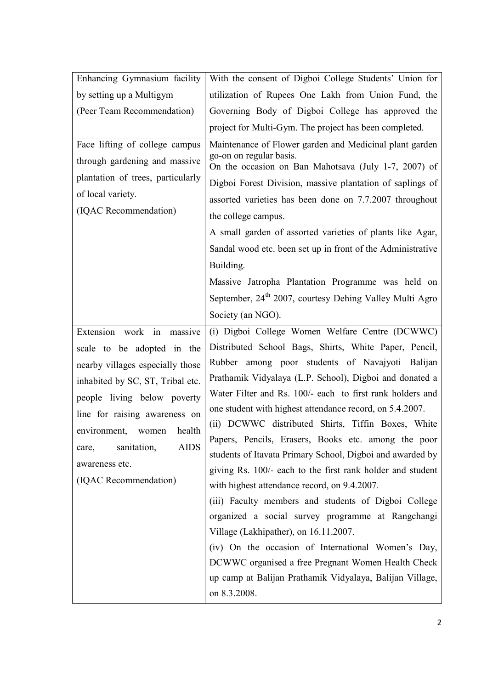| Enhancing Gymnasium facility                                                                                                                                                                                                                                                                                         | With the consent of Digboi College Students' Union for                                                                                                                                                                                                                                                                                                                                                                                                                                                                                                                                                                                                                                                                                                                                                                                                                                                                                                                                |
|----------------------------------------------------------------------------------------------------------------------------------------------------------------------------------------------------------------------------------------------------------------------------------------------------------------------|---------------------------------------------------------------------------------------------------------------------------------------------------------------------------------------------------------------------------------------------------------------------------------------------------------------------------------------------------------------------------------------------------------------------------------------------------------------------------------------------------------------------------------------------------------------------------------------------------------------------------------------------------------------------------------------------------------------------------------------------------------------------------------------------------------------------------------------------------------------------------------------------------------------------------------------------------------------------------------------|
| by setting up a Multigym                                                                                                                                                                                                                                                                                             | utilization of Rupees One Lakh from Union Fund, the                                                                                                                                                                                                                                                                                                                                                                                                                                                                                                                                                                                                                                                                                                                                                                                                                                                                                                                                   |
| (Peer Team Recommendation)                                                                                                                                                                                                                                                                                           | Governing Body of Digboi College has approved the                                                                                                                                                                                                                                                                                                                                                                                                                                                                                                                                                                                                                                                                                                                                                                                                                                                                                                                                     |
|                                                                                                                                                                                                                                                                                                                      | project for Multi-Gym. The project has been completed.                                                                                                                                                                                                                                                                                                                                                                                                                                                                                                                                                                                                                                                                                                                                                                                                                                                                                                                                |
| Face lifting of college campus<br>through gardening and massive<br>plantation of trees, particularly<br>of local variety.<br>(IQAC Recommendation)                                                                                                                                                                   | Maintenance of Flower garden and Medicinal plant garden<br>go-on on regular basis.<br>On the occasion on Ban Mahotsava (July 1-7, 2007) of<br>Digboi Forest Division, massive plantation of saplings of<br>assorted varieties has been done on 7.7.2007 throughout<br>the college campus.<br>A small garden of assorted varieties of plants like Agar,<br>Sandal wood etc. been set up in front of the Administrative<br>Building.<br>Massive Jatropha Plantation Programme was held on<br>September, 24 <sup>th</sup> 2007, courtesy Dehing Valley Multi Agro                                                                                                                                                                                                                                                                                                                                                                                                                        |
|                                                                                                                                                                                                                                                                                                                      | Society (an NGO).                                                                                                                                                                                                                                                                                                                                                                                                                                                                                                                                                                                                                                                                                                                                                                                                                                                                                                                                                                     |
| Extension work in<br>massive<br>scale to be adopted in the<br>nearby villages especially those<br>inhabited by SC, ST, Tribal etc.<br>people living below poverty<br>line for raising awareness on<br>health<br>environment, women<br><b>AIDS</b><br>sanitation,<br>care,<br>awareness etc.<br>(IQAC Recommendation) | (i) Digboi College Women Welfare Centre (DCWWC)<br>Distributed School Bags, Shirts, White Paper, Pencil,<br>Rubber among poor students of Navajyoti Balijan<br>Prathamik Vidyalaya (L.P. School), Digboi and donated a<br>Water Filter and Rs. 100/- each to first rank holders and<br>one student with highest attendance record, on 5.4.2007.<br>(ii) DCWWC distributed Shirts, Tiffin Boxes, White<br>Papers, Pencils, Erasers, Books etc. among the poor<br>students of Itavata Primary School, Digboi and awarded by<br>giving Rs. 100/- each to the first rank holder and student<br>with highest attendance record, on 9.4.2007.<br>(iii) Faculty members and students of Digboi College<br>organized a social survey programme at Rangchangi<br>Village (Lakhipather), on 16.11.2007.<br>(iv) On the occasion of International Women's Day,<br>DCWWC organised a free Pregnant Women Health Check<br>up camp at Balijan Prathamik Vidyalaya, Balijan Village,<br>on 8.3.2008. |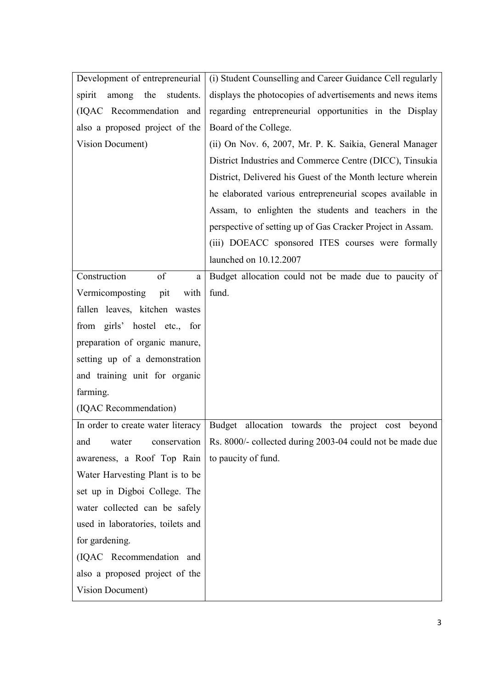| Development of entrepreneurial      | (i) Student Counselling and Career Guidance Cell regularly |
|-------------------------------------|------------------------------------------------------------|
| the<br>students.<br>spirit<br>among | displays the photocopies of advertisements and news items  |
| (IQAC Recommendation and            | regarding entrepreneurial opportunities in the Display     |
| also a proposed project of the      | Board of the College.                                      |
| Vision Document)                    | (ii) On Nov. 6, 2007, Mr. P. K. Saikia, General Manager    |
|                                     | District Industries and Commerce Centre (DICC), Tinsukia   |
|                                     | District, Delivered his Guest of the Month lecture wherein |
|                                     | he elaborated various entrepreneurial scopes available in  |
|                                     | Assam, to enlighten the students and teachers in the       |
|                                     | perspective of setting up of Gas Cracker Project in Assam. |
|                                     | (iii) DOEACC sponsored ITES courses were formally          |
|                                     | launched on 10.12.2007                                     |
| Construction<br>of<br>a             | Budget allocation could not be made due to paucity of      |
| Vermicomposting<br>with<br>pit      | fund.                                                      |
| fallen leaves, kitchen wastes       |                                                            |
| from girls' hostel etc., for        |                                                            |
| preparation of organic manure,      |                                                            |
| setting up of a demonstration       |                                                            |
| and training unit for organic       |                                                            |
| farming.                            |                                                            |
| (IQAC Recommendation)               |                                                            |
| In order to create water literacy   | Budget allocation towards<br>the project<br>beyond<br>cost |
| conservation<br>and<br>water        | Rs. 8000/- collected during 2003-04 could not be made due  |
| awareness, a Roof Top Rain          | to paucity of fund.                                        |
| Water Harvesting Plant is to be     |                                                            |
| set up in Digboi College. The       |                                                            |
| water collected can be safely       |                                                            |
| used in laboratories, toilets and   |                                                            |
| for gardening.                      |                                                            |
| (IQAC Recommendation and            |                                                            |
| also a proposed project of the      |                                                            |
| Vision Document)                    |                                                            |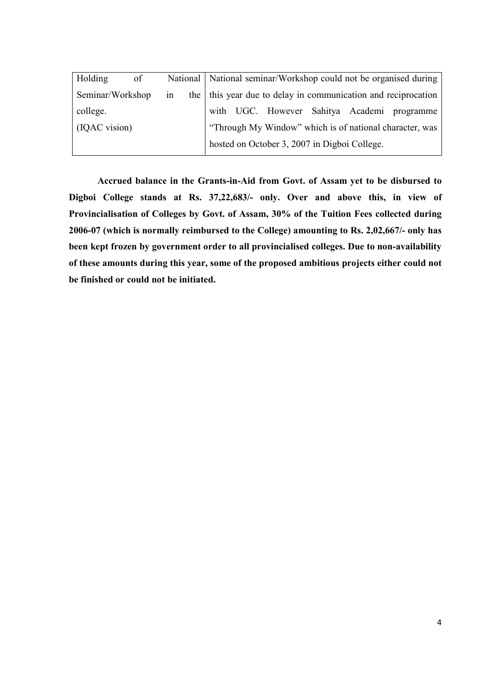| Holding          | of |    |  |  |                                              |  | National   National seminar/Workshop could not be organised during |
|------------------|----|----|--|--|----------------------------------------------|--|--------------------------------------------------------------------|
| Seminar/Workshop |    | 1n |  |  |                                              |  | the   this year due to delay in communication and reciprocation    |
| college.         |    |    |  |  |                                              |  | with UGC. However Sahitya Academi programme                        |
| (IQAC vision)    |    |    |  |  |                                              |  | "Through My Window" which is of national character, was            |
|                  |    |    |  |  | hosted on October 3, 2007 in Digboi College. |  |                                                                    |

**Accrued balance in the Grants-in-Aid from Govt. of Assam yet to be disbursed to Digboi College stands at Rs. 37,22,683/- only. Over and above this, in view of Provincialisation of Colleges by Govt. of Assam, 30% of the Tuition Fees collected during 2006-07 (which is normally reimbursed to the College) amounting to Rs. 2,02,667/- only has been kept frozen by government order to all provincialised colleges. Due to non-availability of these amounts during this year, some of the proposed ambitious projects either could not be finished or could not be initiated.**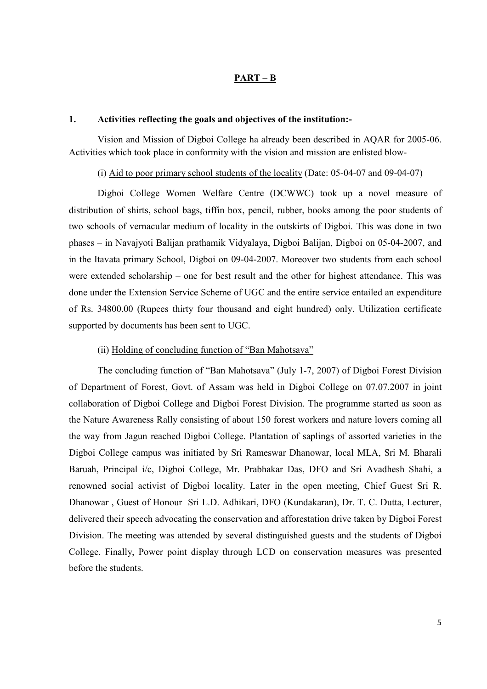### **PART – B**

### **1. Activities reflecting the goals and objectives of the institution:-**

 Vision and Mission of Digboi College ha already been described in AQAR for 2005-06. Activities which took place in conformity with the vision and mission are enlisted blow-

### (i) Aid to poor primary school students of the locality (Date: 05-04-07 and 09-04-07)

 Digboi College Women Welfare Centre (DCWWC) took up a novel measure of distribution of shirts, school bags, tiffin box, pencil, rubber, books among the poor students of two schools of vernacular medium of locality in the outskirts of Digboi. This was done in two phases – in Navajyoti Balijan prathamik Vidyalaya, Digboi Balijan, Digboi on 05-04-2007, and in the Itavata primary School, Digboi on 09-04-2007. Moreover two students from each school were extended scholarship – one for best result and the other for highest attendance. This was done under the Extension Service Scheme of UGC and the entire service entailed an expenditure of Rs. 34800.00 (Rupees thirty four thousand and eight hundred) only. Utilization certificate supported by documents has been sent to UGC.

### (ii) Holding of concluding function of "Ban Mahotsava"

 The concluding function of "Ban Mahotsava" (July 1-7, 2007) of Digboi Forest Division of Department of Forest, Govt. of Assam was held in Digboi College on 07.07.2007 in joint collaboration of Digboi College and Digboi Forest Division. The programme started as soon as the Nature Awareness Rally consisting of about 150 forest workers and nature lovers coming all the way from Jagun reached Digboi College. Plantation of saplings of assorted varieties in the Digboi College campus was initiated by Sri Rameswar Dhanowar, local MLA, Sri M. Bharali Baruah, Principal i/c, Digboi College, Mr. Prabhakar Das, DFO and Sri Avadhesh Shahi, a renowned social activist of Digboi locality. Later in the open meeting, Chief Guest Sri R. Dhanowar , Guest of Honour Sri L.D. Adhikari, DFO (Kundakaran), Dr. T. C. Dutta, Lecturer, delivered their speech advocating the conservation and afforestation drive taken by Digboi Forest Division. The meeting was attended by several distinguished guests and the students of Digboi College. Finally, Power point display through LCD on conservation measures was presented before the students.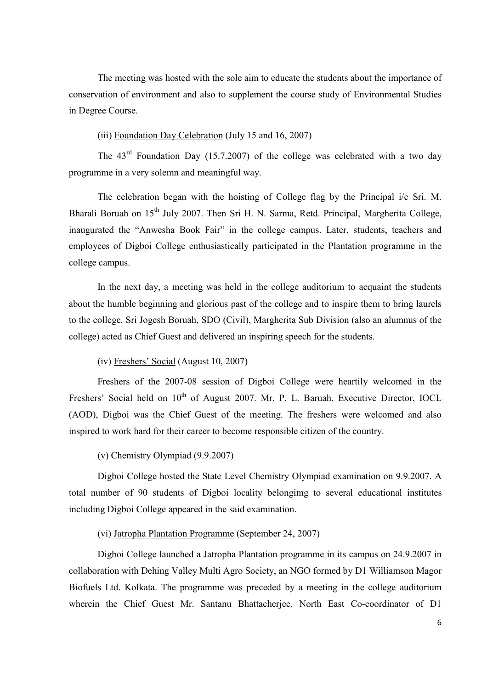The meeting was hosted with the sole aim to educate the students about the importance of conservation of environment and also to supplement the course study of Environmental Studies in Degree Course.

### (iii) Foundation Day Celebration (July 15 and 16, 2007)

The  $43<sup>rd</sup>$  Foundation Day (15.7.2007) of the college was celebrated with a two day programme in a very solemn and meaningful way.

 The celebration began with the hoisting of College flag by the Principal i/c Sri. M. Bharali Boruah on  $15<sup>th</sup>$  July 2007. Then Sri H. N. Sarma, Retd. Principal, Margherita College, inaugurated the "Anwesha Book Fair" in the college campus. Later, students, teachers and employees of Digboi College enthusiastically participated in the Plantation programme in the college campus.

 In the next day, a meeting was held in the college auditorium to acquaint the students about the humble beginning and glorious past of the college and to inspire them to bring laurels to the college. Sri Jogesh Boruah, SDO (Civil), Margherita Sub Division (also an alumnus of the college) acted as Chief Guest and delivered an inspiring speech for the students.

### (iv) Freshers' Social (August 10, 2007)

 Freshers of the 2007-08 session of Digboi College were heartily welcomed in the Freshers' Social held on 10<sup>th</sup> of August 2007. Mr. P. L. Baruah, Executive Director, IOCL (AOD), Digboi was the Chief Guest of the meeting. The freshers were welcomed and also inspired to work hard for their career to become responsible citizen of the country.

### (v) Chemistry Olympiad (9.9.2007)

 Digboi College hosted the State Level Chemistry Olympiad examination on 9.9.2007. A total number of 90 students of Digboi locality belongimg to several educational institutes including Digboi College appeared in the said examination.

### (vi) Jatropha Plantation Programme (September 24, 2007)

 Digboi College launched a Jatropha Plantation programme in its campus on 24.9.2007 in collaboration with Dehing Valley Multi Agro Society, an NGO formed by D1 Williamson Magor Biofuels Ltd. Kolkata. The programme was preceded by a meeting in the college auditorium wherein the Chief Guest Mr. Santanu Bhattacherjee, North East Co-coordinator of D1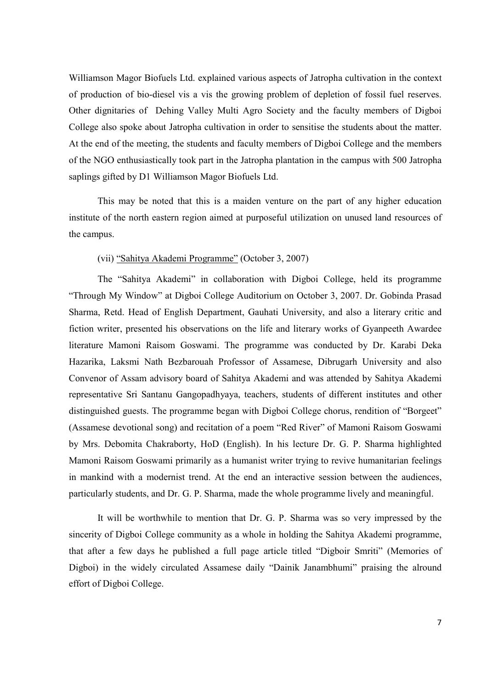Williamson Magor Biofuels Ltd. explained various aspects of Jatropha cultivation in the context of production of bio-diesel vis a vis the growing problem of depletion of fossil fuel reserves. Other dignitaries of Dehing Valley Multi Agro Society and the faculty members of Digboi College also spoke about Jatropha cultivation in order to sensitise the students about the matter. At the end of the meeting, the students and faculty members of Digboi College and the members of the NGO enthusiastically took part in the Jatropha plantation in the campus with 500 Jatropha saplings gifted by D1 Williamson Magor Biofuels Ltd.

 This may be noted that this is a maiden venture on the part of any higher education institute of the north eastern region aimed at purposeful utilization on unused land resources of the campus.

### (vii) "Sahitya Akademi Programme" (October 3, 2007)

 The "Sahitya Akademi" in collaboration with Digboi College, held its programme "Through My Window" at Digboi College Auditorium on October 3, 2007. Dr. Gobinda Prasad Sharma, Retd. Head of English Department, Gauhati University, and also a literary critic and fiction writer, presented his observations on the life and literary works of Gyanpeeth Awardee literature Mamoni Raisom Goswami. The programme was conducted by Dr. Karabi Deka Hazarika, Laksmi Nath Bezbarouah Professor of Assamese, Dibrugarh University and also Convenor of Assam advisory board of Sahitya Akademi and was attended by Sahitya Akademi representative Sri Santanu Gangopadhyaya, teachers, students of different institutes and other distinguished guests. The programme began with Digboi College chorus, rendition of "Borgeet" (Assamese devotional song) and recitation of a poem "Red River" of Mamoni Raisom Goswami by Mrs. Debomita Chakraborty, HoD (English). In his lecture Dr. G. P. Sharma highlighted Mamoni Raisom Goswami primarily as a humanist writer trying to revive humanitarian feelings in mankind with a modernist trend. At the end an interactive session between the audiences, particularly students, and Dr. G. P. Sharma, made the whole programme lively and meaningful.

 It will be worthwhile to mention that Dr. G. P. Sharma was so very impressed by the sincerity of Digboi College community as a whole in holding the Sahitya Akademi programme, that after a few days he published a full page article titled "Digboir Smriti" (Memories of Digboi) in the widely circulated Assamese daily "Dainik Janambhumi" praising the alround effort of Digboi College.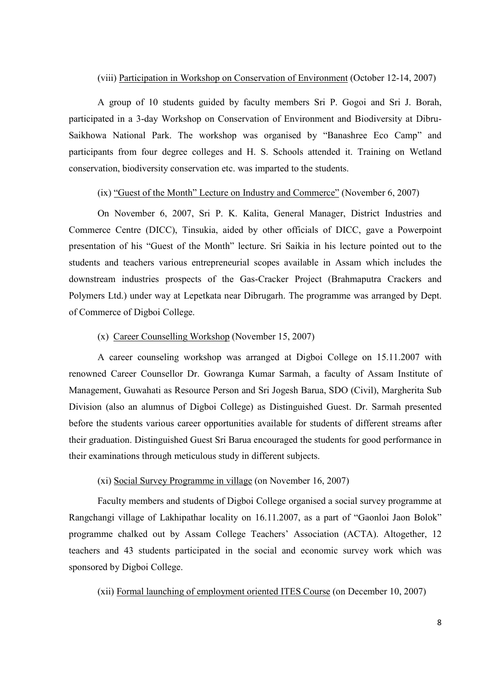### (viii) Participation in Workshop on Conservation of Environment (October 12-14, 2007)

 A group of 10 students guided by faculty members Sri P. Gogoi and Sri J. Borah, participated in a 3-day Workshop on Conservation of Environment and Biodiversity at Dibru-Saikhowa National Park. The workshop was organised by "Banashree Eco Camp" and participants from four degree colleges and H. S. Schools attended it. Training on Wetland conservation, biodiversity conservation etc. was imparted to the students.

### (ix) "Guest of the Month" Lecture on Industry and Commerce" (November 6, 2007)

 On November 6, 2007, Sri P. K. Kalita, General Manager, District Industries and Commerce Centre (DICC), Tinsukia, aided by other officials of DICC, gave a Powerpoint presentation of his "Guest of the Month" lecture. Sri Saikia in his lecture pointed out to the students and teachers various entrepreneurial scopes available in Assam which includes the downstream industries prospects of the Gas-Cracker Project (Brahmaputra Crackers and Polymers Ltd.) under way at Lepetkata near Dibrugarh. The programme was arranged by Dept. of Commerce of Digboi College.

#### (x) Career Counselling Workshop (November 15, 2007)

 A career counseling workshop was arranged at Digboi College on 15.11.2007 with renowned Career Counsellor Dr. Gowranga Kumar Sarmah, a faculty of Assam Institute of Management, Guwahati as Resource Person and Sri Jogesh Barua, SDO (Civil), Margherita Sub Division (also an alumnus of Digboi College) as Distinguished Guest. Dr. Sarmah presented before the students various career opportunities available for students of different streams after their graduation. Distinguished Guest Sri Barua encouraged the students for good performance in their examinations through meticulous study in different subjects.

### (xi) Social Survey Programme in village (on November 16, 2007)

 Faculty members and students of Digboi College organised a social survey programme at Rangchangi village of Lakhipathar locality on 16.11.2007, as a part of "Gaonloi Jaon Bolok" programme chalked out by Assam College Teachers' Association (ACTA). Altogether, 12 teachers and 43 students participated in the social and economic survey work which was sponsored by Digboi College.

(xii) Formal launching of employment oriented ITES Course (on December 10, 2007)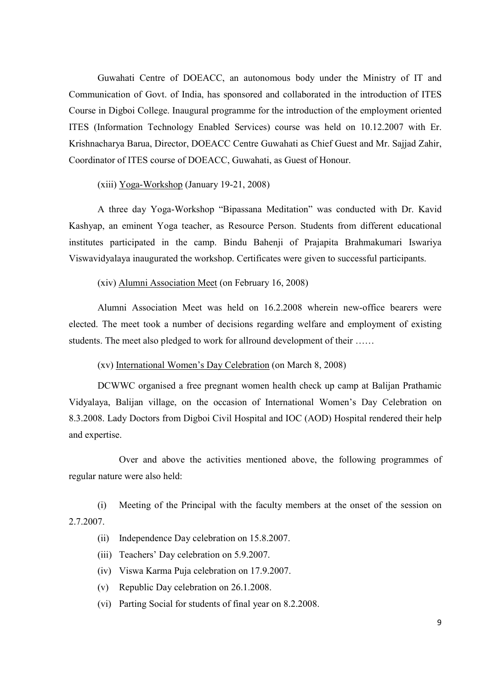Guwahati Centre of DOEACC, an autonomous body under the Ministry of IT and Communication of Govt. of India, has sponsored and collaborated in the introduction of ITES Course in Digboi College. Inaugural programme for the introduction of the employment oriented ITES (Information Technology Enabled Services) course was held on 10.12.2007 with Er. Krishnacharya Barua, Director, DOEACC Centre Guwahati as Chief Guest and Mr. Sajjad Zahir, Coordinator of ITES course of DOEACC, Guwahati, as Guest of Honour.

(xiii) Yoga-Workshop (January 19-21, 2008)

 A three day Yoga-Workshop "Bipassana Meditation" was conducted with Dr. Kavid Kashyap, an eminent Yoga teacher, as Resource Person. Students from different educational institutes participated in the camp. Bindu Bahenji of Prajapita Brahmakumari Iswariya Viswavidyalaya inaugurated the workshop. Certificates were given to successful participants.

#### (xiv) Alumni Association Meet (on February 16, 2008)

 Alumni Association Meet was held on 16.2.2008 wherein new-office bearers were elected. The meet took a number of decisions regarding welfare and employment of existing students. The meet also pledged to work for allround development of their ……

### (xv) International Women's Day Celebration (on March 8, 2008)

 DCWWC organised a free pregnant women health check up camp at Balijan Prathamic Vidyalaya, Balijan village, on the occasion of International Women's Day Celebration on 8.3.2008. Lady Doctors from Digboi Civil Hospital and IOC (AOD) Hospital rendered their help and expertise.

 Over and above the activities mentioned above, the following programmes of regular nature were also held:

(i) Meeting of the Principal with the faculty members at the onset of the session on 2.7.2007.

- (ii) Independence Day celebration on 15.8.2007.
- (iii) Teachers' Day celebration on 5.9.2007.
- (iv) Viswa Karma Puja celebration on 17.9.2007.
- (v) Republic Day celebration on 26.1.2008.
- (vi) Parting Social for students of final year on 8.2.2008.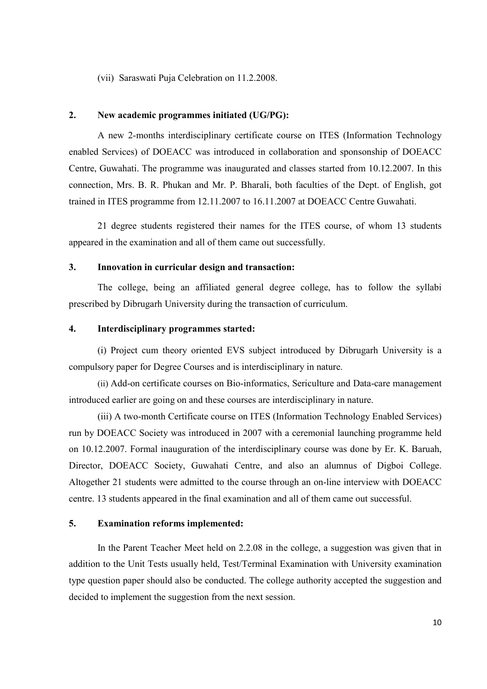(vii) Saraswati Puja Celebration on 11.2.2008.

### **2. New academic programmes initiated (UG/PG):**

 A new 2-months interdisciplinary certificate course on ITES (Information Technology enabled Services) of DOEACC was introduced in collaboration and sponsonship of DOEACC Centre, Guwahati. The programme was inaugurated and classes started from 10.12.2007. In this connection, Mrs. B. R. Phukan and Mr. P. Bharali, both faculties of the Dept. of English, got trained in ITES programme from 12.11.2007 to 16.11.2007 at DOEACC Centre Guwahati.

 21 degree students registered their names for the ITES course, of whom 13 students appeared in the examination and all of them came out successfully.

### **3. Innovation in curricular design and transaction:**

 The college, being an affiliated general degree college, has to follow the syllabi prescribed by Dibrugarh University during the transaction of curriculum.

### **4. Interdisciplinary programmes started:**

 (i) Project cum theory oriented EVS subject introduced by Dibrugarh University is a compulsory paper for Degree Courses and is interdisciplinary in nature.

 (ii) Add-on certificate courses on Bio-informatics, Sericulture and Data-care management introduced earlier are going on and these courses are interdisciplinary in nature.

(iii) A two-month Certificate course on ITES (Information Technology Enabled Services) run by DOEACC Society was introduced in 2007 with a ceremonial launching programme held on 10.12.2007. Formal inauguration of the interdisciplinary course was done by Er. K. Baruah, Director, DOEACC Society, Guwahati Centre, and also an alumnus of Digboi College. Altogether 21 students were admitted to the course through an on-line interview with DOEACC centre. 13 students appeared in the final examination and all of them came out successful.

### **5. Examination reforms implemented:**

 In the Parent Teacher Meet held on 2.2.08 in the college, a suggestion was given that in addition to the Unit Tests usually held, Test/Terminal Examination with University examination type question paper should also be conducted. The college authority accepted the suggestion and decided to implement the suggestion from the next session.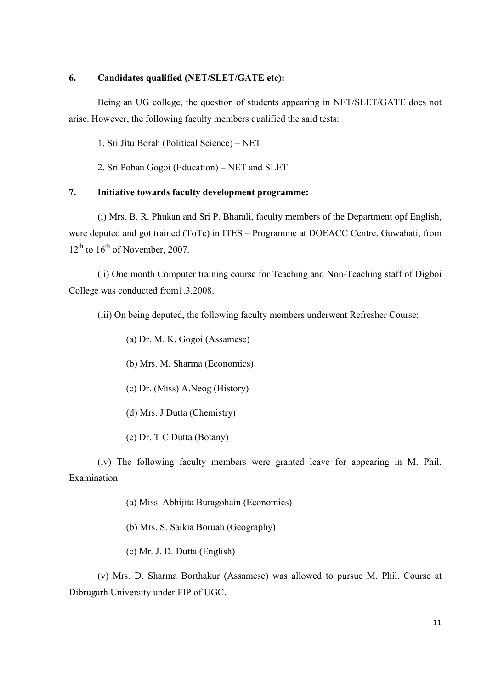### **6. Candidates qualified (NET/SLET/GATE etc):**

 Being an UG college, the question of students appearing in NET/SLET/GATE does not arise. However, the following faculty members qualified the said tests:

1. Sri Jitu Borah (Political Science) – NET

2. Sri Poban Gogoi (Education) – NET and SLET

### **7. Initiative towards faculty development programme:**

 (i) Mrs. B. R. Phukan and Sri P. Bharali, faculty members of the Department opf English, were deputed and got trained (ToTe) in ITES – Programme at DOEACC Centre, Guwahati, from  $12<sup>th</sup>$  to  $16<sup>th</sup>$  of November, 2007.

 (ii) One month Computer training course for Teaching and Non-Teaching staff of Digboi College was conducted from1.3.2008.

(iii) On being deputed, the following faculty members underwent Refresher Course:

(a) Dr. M. K. Gogoi (Assamese)

(b) Mrs. M. Sharma (Economics)

- (c) Dr. (Miss) A.Neog (History)
- (d) Mrs. J Dutta (Chemistry)
- (e) Dr. T C Dutta (Botany)

 (iv) The following faculty members were granted leave for appearing in M. Phil. Examination:

(a) Miss. Abhijita Buragohain (Economics)

- (b) Mrs. S. Saikia Boruah (Geography)
- (c) Mr. J. D. Dutta (English)

(v) Mrs. D. Sharma Borthakur (Assamese) was allowed to pursue M. Phil. Course at Dibrugarh University under FIP of UGC.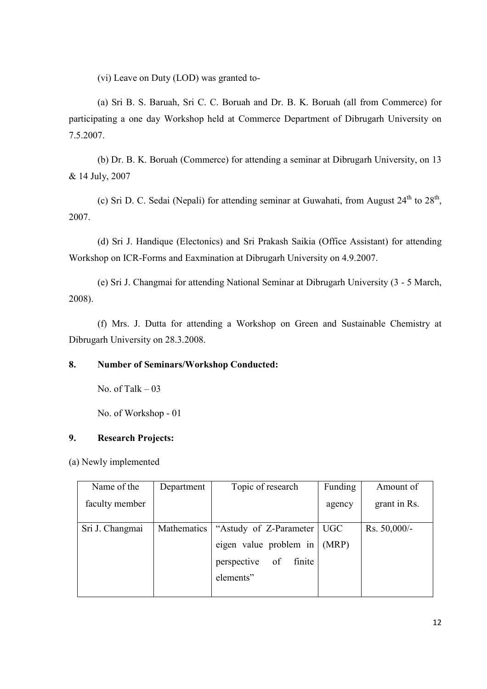(vi) Leave on Duty (LOD) was granted to-

(a) Sri B. S. Baruah, Sri C. C. Boruah and Dr. B. K. Boruah (all from Commerce) for participating a one day Workshop held at Commerce Department of Dibrugarh University on 7.5.2007.

 (b) Dr. B. K. Boruah (Commerce) for attending a seminar at Dibrugarh University, on 13 & 14 July, 2007

(c) Sri D. C. Sedai (Nepali) for attending seminar at Guwahati, from August  $24<sup>th</sup>$  to  $28<sup>th</sup>$ , 2007.

(d) Sri J. Handique (Electonics) and Sri Prakash Saikia (Office Assistant) for attending Workshop on ICR-Forms and Eaxmination at Dibrugarh University on 4.9.2007.

 (e) Sri J. Changmai for attending National Seminar at Dibrugarh University (3 - 5 March, 2008).

 (f) Mrs. J. Dutta for attending a Workshop on Green and Sustainable Chemistry at Dibrugarh University on 28.3.2008.

# **8. Number of Seminars/Workshop Conducted:**

No. of Talk  $-03$ 

No. of Workshop - 01

# **9. Research Projects:**

(a) Newly implemented

| Name of the     | Department  | Topic of research           | Funding | Amount of      |
|-----------------|-------------|-----------------------------|---------|----------------|
| faculty member  |             |                             | agency  | grant in Rs.   |
| Sri J. Changmai | Mathematics | "Astudy of Z-Parameter"     | UGC     | Rs. $50,000/-$ |
|                 |             | eigen value problem in      | (MRP)   |                |
|                 |             | perspective<br>of<br>finite |         |                |
|                 |             | elements"                   |         |                |
|                 |             |                             |         |                |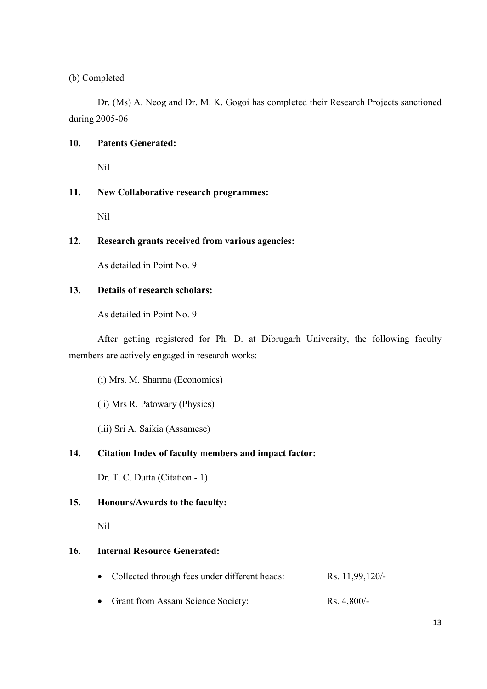(b) Completed

 Dr. (Ms) A. Neog and Dr. M. K. Gogoi has completed their Research Projects sanctioned during 2005-06

### **10. Patents Generated:**

Nil

# **11. New Collaborative research programmes:**

Nil

### **12. Research grants received from various agencies:**

As detailed in Point No. 9

### **13. Details of research scholars:**

As detailed in Point No. 9

 After getting registered for Ph. D. at Dibrugarh University, the following faculty members are actively engaged in research works:

(i) Mrs. M. Sharma (Economics)

(ii) Mrs R. Patowary (Physics)

(iii) Sri A. Saikia (Assamese)

# **14. Citation Index of faculty members and impact factor:**

Dr. T. C. Dutta (Citation - 1)

### **15. Honours/Awards to the faculty:**

Nil

# **16. Internal Resource Generated:**

- Collected through fees under different heads: Rs. 11,99,120/-
- Grant from Assam Science Society: Rs. 4,800/-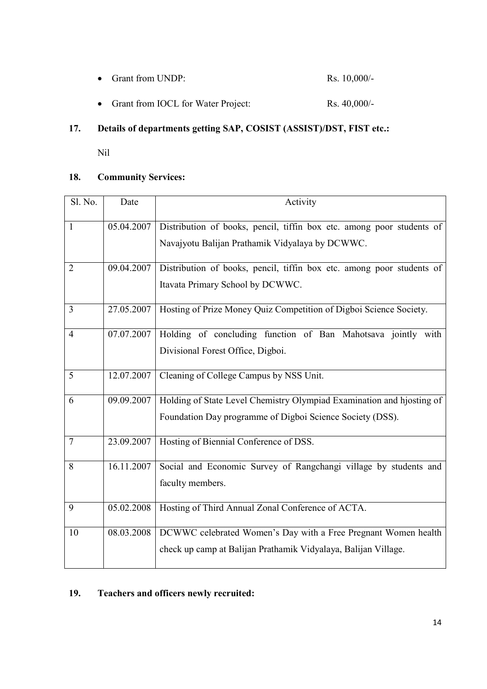|  | • Grant from UNDP: |  | Rs. $10,000/-$ |
|--|--------------------|--|----------------|
|--|--------------------|--|----------------|

• Grant from IOCL for Water Project: Rs. 40,000/-

# **17. Details of departments getting SAP, COSIST (ASSIST)/DST, FIST etc.:**

Nil

# **18. Community Services:**

| Sl. No.        | Date       | Activity                                                                                                                           |
|----------------|------------|------------------------------------------------------------------------------------------------------------------------------------|
| $\mathbf{1}$   | 05.04.2007 | Distribution of books, pencil, tiffin box etc. among poor students of<br>Navajyotu Balijan Prathamik Vidyalaya by DCWWC.           |
| $\overline{2}$ | 09.04.2007 | Distribution of books, pencil, tiffin box etc. among poor students of<br>Itavata Primary School by DCWWC.                          |
| 3              | 27.05.2007 | Hosting of Prize Money Quiz Competition of Digboi Science Society.                                                                 |
| $\overline{4}$ | 07.07.2007 | Holding of concluding function of Ban Mahotsava jointly with<br>Divisional Forest Office, Digboi.                                  |
| 5              | 12.07.2007 | Cleaning of College Campus by NSS Unit.                                                                                            |
| 6              | 09.09.2007 | Holding of State Level Chemistry Olympiad Examination and hjosting of<br>Foundation Day programme of Digboi Science Society (DSS). |
| $\overline{7}$ | 23.09.2007 | Hosting of Biennial Conference of DSS.                                                                                             |
| 8              | 16.11.2007 | Social and Economic Survey of Rangchangi village by students and<br>faculty members.                                               |
| 9              | 05.02.2008 | Hosting of Third Annual Zonal Conference of ACTA.                                                                                  |
| 10             | 08.03.2008 | DCWWC celebrated Women's Day with a Free Pregnant Women health<br>check up camp at Balijan Prathamik Vidyalaya, Balijan Village.   |

# **19. Teachers and officers newly recruited:**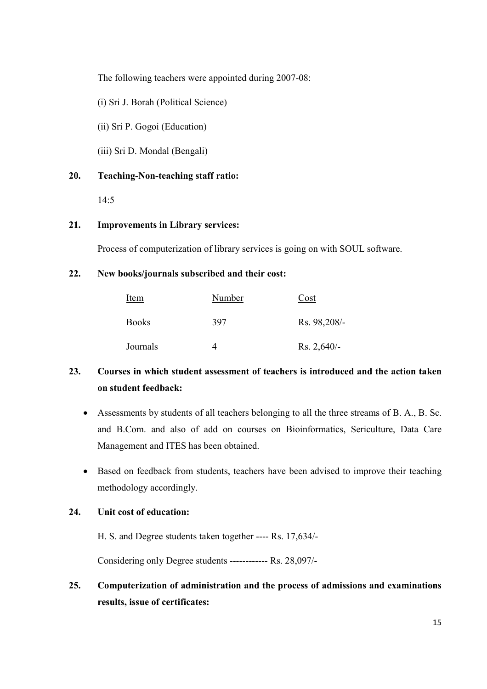The following teachers were appointed during 2007-08:

(i) Sri J. Borah (Political Science)

(ii) Sri P. Gogoi (Education)

(iii) Sri D. Mondal (Bengali)

### **20. Teaching-Non-teaching staff ratio:**

14:5

### **21. Improvements in Library services:**

Process of computerization of library services is going on with SOUL software.

### **22. New books/journals subscribed and their cost:**

| Item         | Number | Cost          |
|--------------|--------|---------------|
| <b>Books</b> | 397    | Rs. 98,208/-  |
| Journals     |        | $Rs. 2,640/-$ |

# **23. Courses in which student assessment of teachers is introduced and the action taken on student feedback:**

- Assessments by students of all teachers belonging to all the three streams of B. A., B. Sc. and B.Com. and also of add on courses on Bioinformatics, Sericulture, Data Care Management and ITES has been obtained.
- Based on feedback from students, teachers have been advised to improve their teaching methodology accordingly.

### **24. Unit cost of education:**

H. S. and Degree students taken together ---- Rs. 17,634/-

Considering only Degree students ------------ Rs. 28,097/-

# **25. Computerization of administration and the process of admissions and examinations results, issue of certificates:**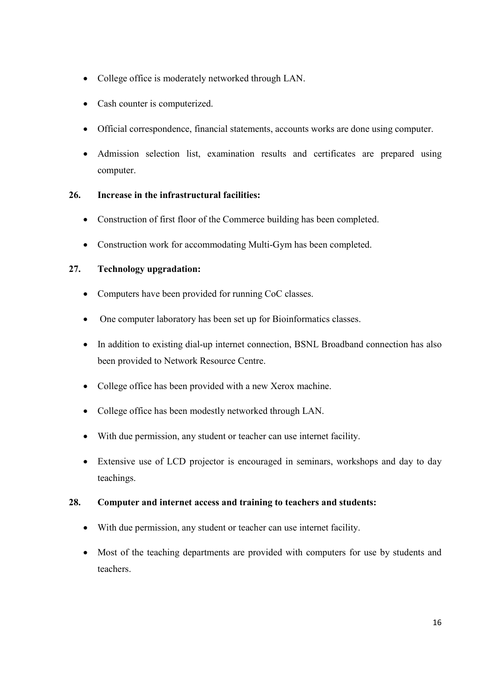- College office is moderately networked through LAN.
- Cash counter is computerized.
- Official correspondence, financial statements, accounts works are done using computer.
- Admission selection list, examination results and certificates are prepared using computer.

# **26. Increase in the infrastructural facilities:**

- Construction of first floor of the Commerce building has been completed.
- Construction work for accommodating Multi-Gym has been completed.

### **27. Technology upgradation:**

- Computers have been provided for running CoC classes.
- One computer laboratory has been set up for Bioinformatics classes.
- In addition to existing dial-up internet connection, BSNL Broadband connection has also been provided to Network Resource Centre.
- College office has been provided with a new Xerox machine.
- College office has been modestly networked through LAN.
- With due permission, any student or teacher can use internet facility.
- Extensive use of LCD projector is encouraged in seminars, workshops and day to day teachings.

### **28. Computer and internet access and training to teachers and students:**

- With due permission, any student or teacher can use internet facility.
- Most of the teaching departments are provided with computers for use by students and teachers.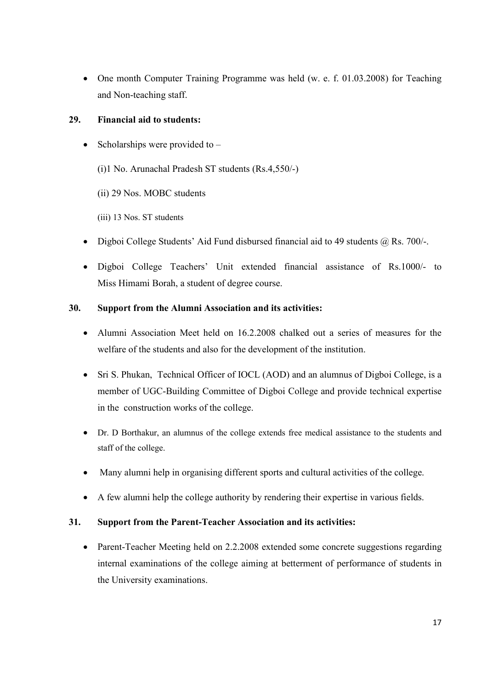• One month Computer Training Programme was held (w. e. f. 01.03.2008) for Teaching and Non-teaching staff.

# **29. Financial aid to students:**

- Scholarships were provided to  $-$ 
	- (i)1 No. Arunachal Pradesh ST students (Rs.4,550/-)
	- (ii) 29 Nos. MOBC students
	- (iii) 13 Nos. ST students
- Digboi College Students' Aid Fund disbursed financial aid to 49 students @ Rs. 700/-.
- Digboi College Teachers' Unit extended financial assistance of Rs.1000/- to Miss Himami Borah, a student of degree course.

# **30. Support from the Alumni Association and its activities:**

- Alumni Association Meet held on 16.2.2008 chalked out a series of measures for the welfare of the students and also for the development of the institution.
- Sri S. Phukan, Technical Officer of IOCL (AOD) and an alumnus of Digboi College, is a member of UGC-Building Committee of Digboi College and provide technical expertise in the construction works of the college.
- Dr. D Borthakur, an alumnus of the college extends free medical assistance to the students and staff of the college.
- Many alumni help in organising different sports and cultural activities of the college.
- A few alumni help the college authority by rendering their expertise in various fields.

# **31. Support from the Parent-Teacher Association and its activities:**

• Parent-Teacher Meeting held on 2.2.2008 extended some concrete suggestions regarding internal examinations of the college aiming at betterment of performance of students in the University examinations.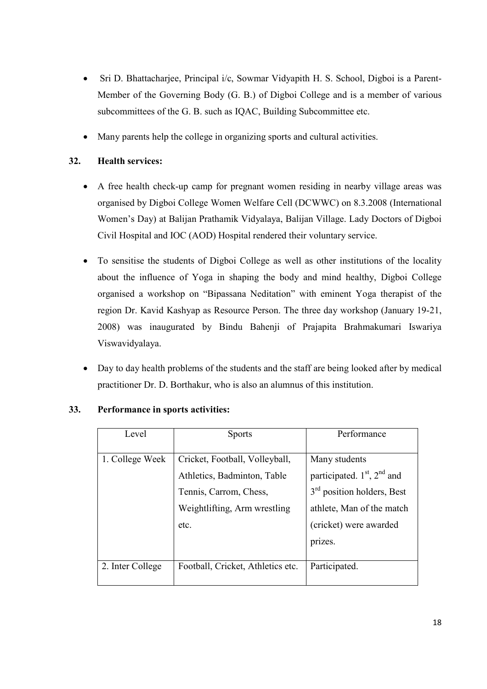- Sri D. Bhattacharjee, Principal i/c, Sowmar Vidyapith H. S. School, Digboi is a Parent-Member of the Governing Body (G. B.) of Digboi College and is a member of various subcommittees of the G. B. such as IQAC, Building Subcommittee etc.
- Many parents help the college in organizing sports and cultural activities.

# **32. Health services:**

- A free health check-up camp for pregnant women residing in nearby village areas was organised by Digboi College Women Welfare Cell (DCWWC) on 8.3.2008 (International Women's Day) at Balijan Prathamik Vidyalaya, Balijan Village. Lady Doctors of Digboi Civil Hospital and IOC (AOD) Hospital rendered their voluntary service.
- To sensitise the students of Digboi College as well as other institutions of the locality about the influence of Yoga in shaping the body and mind healthy, Digboi College organised a workshop on "Bipassana Neditation" with eminent Yoga therapist of the region Dr. Kavid Kashyap as Resource Person. The three day workshop (January 19-21, 2008) was inaugurated by Bindu Bahenji of Prajapita Brahmakumari Iswariya Viswavidyalaya.
- Day to day health problems of the students and the staff are being looked after by medical practitioner Dr. D. Borthakur, who is also an alumnus of this institution.

| Level            | <b>Sports</b>                     | Performance                            |
|------------------|-----------------------------------|----------------------------------------|
| 1. College Week  | Cricket, Football, Volleyball,    | Many students                          |
|                  | Athletics, Badminton, Table       | participated. $1st$ , $2nd$ and        |
|                  | Tennis, Carrom, Chess,            | 3 <sup>rd</sup> position holders, Best |
|                  | Weightlifting, Arm wrestling      | athlete, Man of the match              |
|                  | etc.                              | (cricket) were awarded                 |
|                  |                                   | prizes.                                |
|                  |                                   |                                        |
| 2. Inter College | Football, Cricket, Athletics etc. | Participated.                          |

### **33. Performance in sports activities:**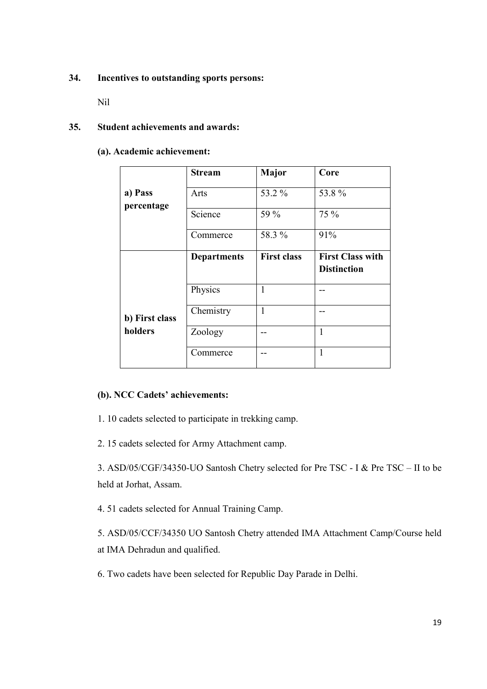### **34. Incentives to outstanding sports persons:**

Nil

### **35. Student achievements and awards:**

**(a). Academic achievement:** 

|                | <b>Stream</b>      | Major              | Core                                          |
|----------------|--------------------|--------------------|-----------------------------------------------|
| a) Pass        | Arts               | 53.2 %             | 53.8%                                         |
| percentage     | Science            | 59 %               | 75 %                                          |
|                | Commerce           | 58.3 %             | 91%                                           |
|                | <b>Departments</b> | <b>First class</b> | <b>First Class with</b><br><b>Distinction</b> |
|                | Physics            | $\mathbf{1}$       |                                               |
| b) First class | Chemistry          | $\mathbf{1}$       |                                               |
| holders        | Zoology            |                    | $\mathbf{1}$                                  |
|                | Commerce           |                    | 1                                             |

### **(b). NCC Cadets' achievements:**

1. 10 cadets selected to participate in trekking camp.

2. 15 cadets selected for Army Attachment camp.

3. ASD/05/CGF/34350-UO Santosh Chetry selected for Pre TSC - I & Pre TSC – II to be held at Jorhat, Assam.

4. 51 cadets selected for Annual Training Camp.

5. ASD/05/CCF/34350 UO Santosh Chetry attended IMA Attachment Camp/Course held at IMA Dehradun and qualified.

6. Two cadets have been selected for Republic Day Parade in Delhi.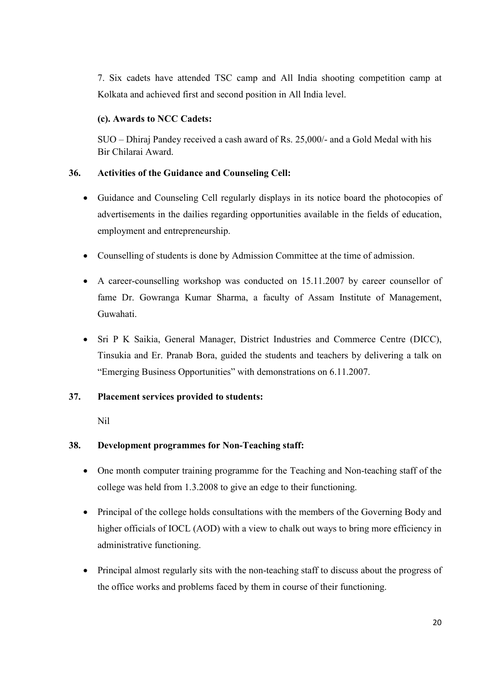7. Six cadets have attended TSC camp and All India shooting competition camp at Kolkata and achieved first and second position in All India level.

# **(c). Awards to NCC Cadets:**

 SUO – Dhiraj Pandey received a cash award of Rs. 25,000/- and a Gold Medal with his Bir Chilarai Award.

# **36. Activities of the Guidance and Counseling Cell:**

- Guidance and Counseling Cell regularly displays in its notice board the photocopies of advertisements in the dailies regarding opportunities available in the fields of education, employment and entrepreneurship.
- Counselling of students is done by Admission Committee at the time of admission.
- A career-counselling workshop was conducted on 15.11.2007 by career counsellor of fame Dr. Gowranga Kumar Sharma, a faculty of Assam Institute of Management, Guwahati.
- Sri P K Saikia, General Manager, District Industries and Commerce Centre (DICC), Tinsukia and Er. Pranab Bora, guided the students and teachers by delivering a talk on "Emerging Business Opportunities" with demonstrations on 6.11.2007.

# **37. Placement services provided to students:**

Nil

# **38. Development programmes for Non-Teaching staff:**

- One month computer training programme for the Teaching and Non-teaching staff of the college was held from 1.3.2008 to give an edge to their functioning.
- Principal of the college holds consultations with the members of the Governing Body and higher officials of IOCL (AOD) with a view to chalk out ways to bring more efficiency in administrative functioning.
- Principal almost regularly sits with the non-teaching staff to discuss about the progress of the office works and problems faced by them in course of their functioning.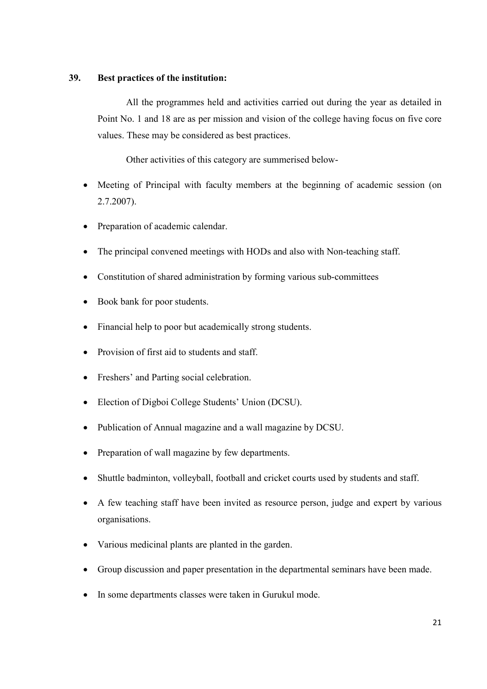### **39. Best practices of the institution:**

 All the programmes held and activities carried out during the year as detailed in Point No. 1 and 18 are as per mission and vision of the college having focus on five core values. These may be considered as best practices.

Other activities of this category are summerised below-

- Meeting of Principal with faculty members at the beginning of academic session (on 2.7.2007).
- Preparation of academic calendar.
- The principal convened meetings with HODs and also with Non-teaching staff.
- Constitution of shared administration by forming various sub-committees
- Book bank for poor students.
- Financial help to poor but academically strong students.
- Provision of first aid to students and staff.
- Freshers' and Parting social celebration.
- Election of Digboi College Students' Union (DCSU).
- Publication of Annual magazine and a wall magazine by DCSU.
- Preparation of wall magazine by few departments.
- Shuttle badminton, volleyball, football and cricket courts used by students and staff.
- A few teaching staff have been invited as resource person, judge and expert by various organisations.
- Various medicinal plants are planted in the garden.
- Group discussion and paper presentation in the departmental seminars have been made.
- In some departments classes were taken in Gurukul mode.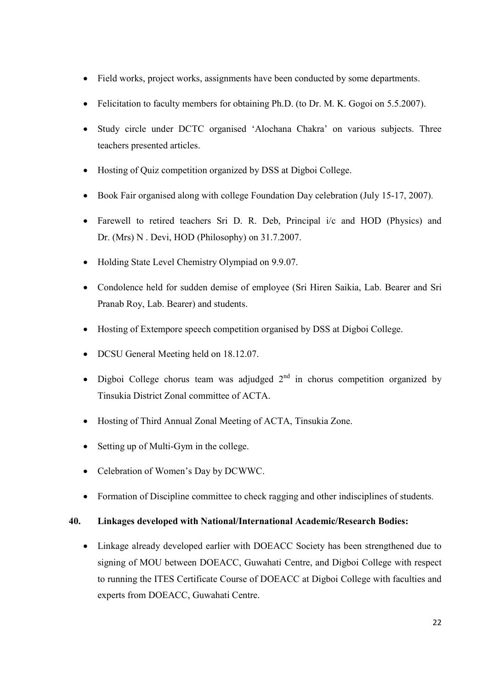- Field works, project works, assignments have been conducted by some departments.
- Felicitation to faculty members for obtaining Ph.D. (to Dr. M. K. Gogoi on 5.5.2007).
- Study circle under DCTC organised 'Alochana Chakra' on various subjects. Three teachers presented articles.
- Hosting of Quiz competition organized by DSS at Digboi College.
- Book Fair organised along with college Foundation Day celebration (July 15-17, 2007).
- Farewell to retired teachers Sri D. R. Deb, Principal i/c and HOD (Physics) and Dr. (Mrs) N . Devi, HOD (Philosophy) on 31.7.2007.
- Holding State Level Chemistry Olympiad on 9.9.07.
- Condolence held for sudden demise of employee (Sri Hiren Saikia, Lab. Bearer and Sri Pranab Roy, Lab. Bearer) and students.
- Hosting of Extempore speech competition organised by DSS at Digboi College.
- DCSU General Meeting held on 18.12.07.
- Digboi College chorus team was adjudged  $2<sup>nd</sup>$  in chorus competition organized by Tinsukia District Zonal committee of ACTA.
- Hosting of Third Annual Zonal Meeting of ACTA, Tinsukia Zone.
- Setting up of Multi-Gym in the college.
- Celebration of Women's Day by DCWWC.
- Formation of Discipline committee to check ragging and other indisciplines of students.

### **40. Linkages developed with National/International Academic/Research Bodies:**

• Linkage already developed earlier with DOEACC Society has been strengthened due to signing of MOU between DOEACC, Guwahati Centre, and Digboi College with respect to running the ITES Certificate Course of DOEACC at Digboi College with faculties and experts from DOEACC, Guwahati Centre.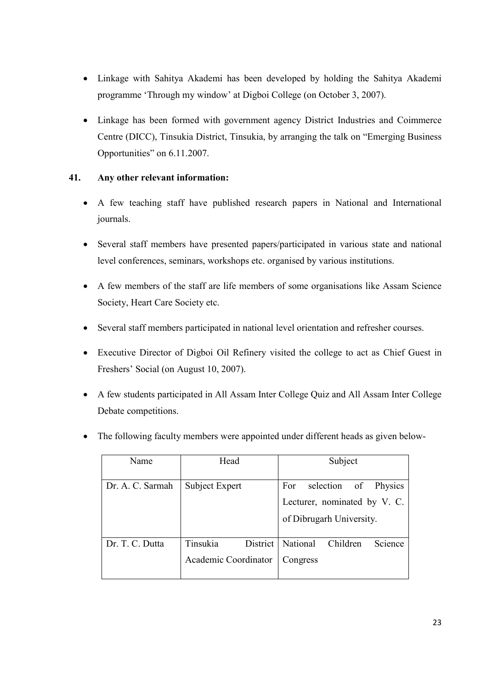- Linkage with Sahitya Akademi has been developed by holding the Sahitya Akademi programme 'Through my window' at Digboi College (on October 3, 2007).
- Linkage has been formed with government agency District Industries and Coimmerce Centre (DICC), Tinsukia District, Tinsukia, by arranging the talk on "Emerging Business Opportunities" on 6.11.2007.

# **41. Any other relevant information:**

- A few teaching staff have published research papers in National and International journals.
- Several staff members have presented papers/participated in various state and national level conferences, seminars, workshops etc. organised by various institutions.
- A few members of the staff are life members of some organisations like Assam Science Society, Heart Care Society etc.
- Several staff members participated in national level orientation and refresher courses.
- Executive Director of Digboi Oil Refinery visited the college to act as Chief Guest in Freshers' Social (on August 10, 2007).
- A few students participated in All Assam Inter College Quiz and All Assam Inter College Debate competitions.

| Name             | Head           | Subject                      |
|------------------|----------------|------------------------------|
|                  |                |                              |
| Dr. A. C. Sarmah | Subject Expert | For selection of Physics     |
|                  |                | Lecturer, nominated by V. C. |
|                  |                | of Dibrugarh University.     |

National Children Science

Congress

Academic Coordinator

Dr. T. C. Dutta Tinsukia District

• The following faculty members were appointed under different heads as given below-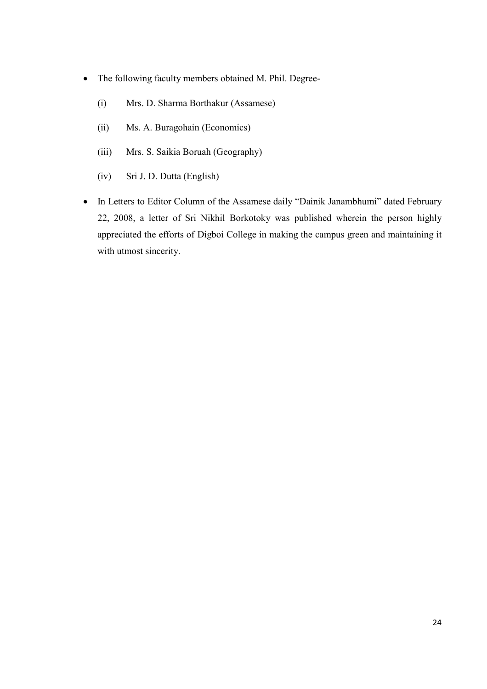- The following faculty members obtained M. Phil. Degree-
	- (i) Mrs. D. Sharma Borthakur (Assamese)
	- (ii) Ms. A. Buragohain (Economics)
	- (iii) Mrs. S. Saikia Boruah (Geography)
	- (iv) Sri J. D. Dutta (English)
- In Letters to Editor Column of the Assamese daily "Dainik Janambhumi" dated February 22, 2008, a letter of Sri Nikhil Borkotoky was published wherein the person highly appreciated the efforts of Digboi College in making the campus green and maintaining it with utmost sincerity.